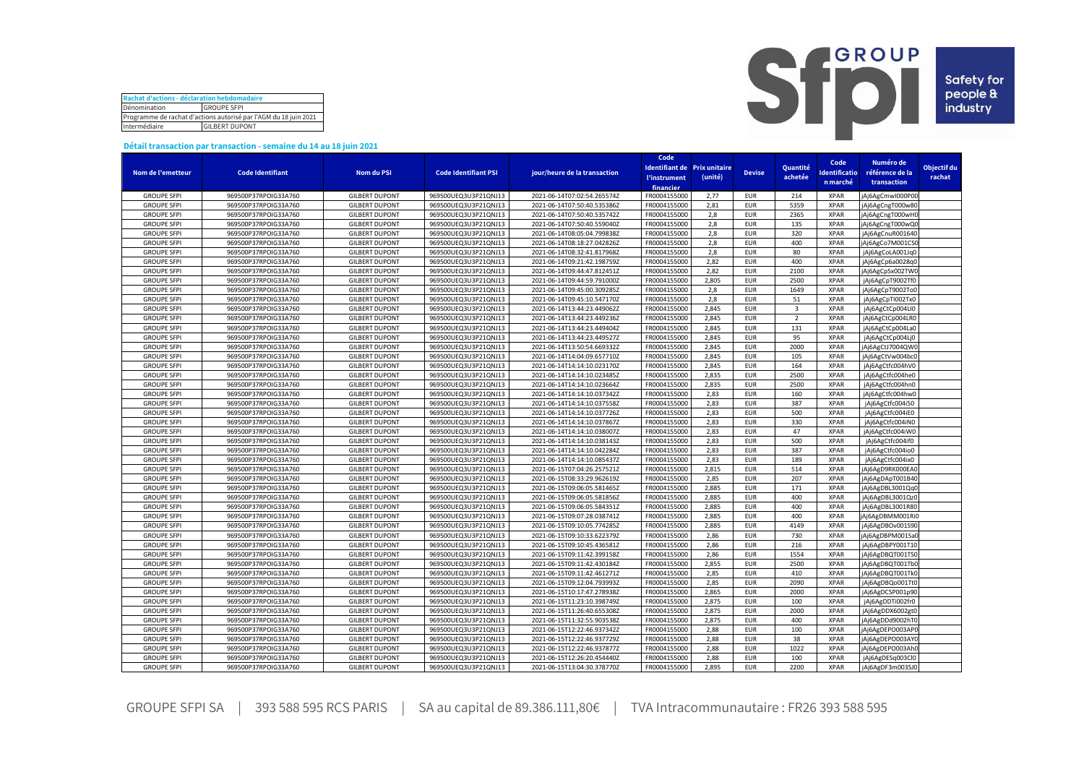| Rachat d'actions - déclaration hebdomadaire                      |  |  |  |  |  |  |  |
|------------------------------------------------------------------|--|--|--|--|--|--|--|
| Dénomination<br><b>GROUPE SFPI</b>                               |  |  |  |  |  |  |  |
| Programme de rachat d'actions autorisé par l'AGM du 18 juin 2021 |  |  |  |  |  |  |  |
| Intermédiaire<br><b>GILBERT DUPONT</b>                           |  |  |  |  |  |  |  |



## **Détail transaction par transaction - semaine du 14 au 18 juin 2021**

|                    |                         |                       |                             |                              | Code         |                              |               |                         |                      |                  |             |
|--------------------|-------------------------|-----------------------|-----------------------------|------------------------------|--------------|------------------------------|---------------|-------------------------|----------------------|------------------|-------------|
|                    |                         |                       |                             |                              |              | Identifiant de Prix unitaire |               | Quantité                | Code                 | Numéro de        | Objectif du |
| Nom de l'emetteur  | <b>Code Identifiant</b> | Nom du PSI            | <b>Code Identifiant PSI</b> | jour/heure de la transaction | l'instrument | (unité)                      | <b>Devise</b> | achetée                 | <b>Identificatio</b> | référence de la  | rachat      |
|                    |                         |                       |                             |                              | financier    |                              |               |                         | n marché             | transaction      |             |
| <b>GROUPE SFPI</b> | 969500P37RPOIG33A760    | <b>GILBERT DUPONT</b> | 969500UEQ3U3P21QNJ13        | 2021-06-14T07:02:54.265574Z  | FR0004155000 | 2,77                         | <b>EUR</b>    | 214                     | <b>XPAR</b>          | jAj6AgCmwl000P00 |             |
| <b>GROUPE SFPI</b> | 969500P37RPOIG33A760    | <b>GILBERT DUPONT</b> | 969500UEQ3U3P21QNJ13        | 2021-06-14T07:50:40.535386Z  | FR0004155000 | 2,81                         | EUR           | 5359                    | <b>XPAR</b>          | jAj6AgCngT000w80 |             |
| <b>GROUPE SFPI</b> | 969500P37RPOIG33A760    | <b>GILBERT DUPONT</b> | 969500UEQ3U3P21QNJ13        | 2021-06-14T07:50:40.535742Z  | FR0004155000 | 2,8                          | <b>EUR</b>    | 2365                    | <b>XPAR</b>          | jAj6AgCngT000wHC |             |
| <b>GROUPE SFPI</b> | 969500P37RPOIG33A760    | <b>GILBERT DUPONT</b> | 969500UEQ3U3P21QNJ13        | 2021-06-14T07:50:40.559040Z  | FR0004155000 | 2,8                          | <b>EUR</b>    | 135                     | <b>XPAR</b>          | Aj6AgCngT000wQ0  |             |
|                    |                         |                       |                             |                              |              | 2,8                          |               |                         | <b>XPAR</b>          |                  |             |
| <b>GROUPE SFPI</b> | 969500P37RPOIG33A760    | <b>GILBERT DUPONT</b> | 969500UEQ3U3P21QNJ13        | 2021-06-14T08:05:04.799838Z  | FR0004155000 |                              | <b>EUR</b>    | 320                     |                      | jAj6AgCnuR001640 |             |
| <b>GROUPE SFPI</b> | 969500P37RPOIG33A760    | <b>GILBERT DUPONT</b> | 969500UEQ3U3P21QNJ13        | 2021-06-14T08:18:27.042826Z  | FR0004155000 | 2,8                          | <b>EUR</b>    | 400                     | <b>XPAR</b>          | jAj6AgCo7M001CSC |             |
| <b>GROUPE SFPI</b> | 969500P37RPOIG33A760    | <b>GILBERT DUPONT</b> | 969500UEQ3U3P21QNJ13        | 2021-06-14T08:32:41.817968Z  | FR0004155000 | 2,8                          | <b>EUR</b>    | 80                      | <b>XPAR</b>          | jAj6AgCoLA001Jq0 |             |
| <b>GROUPE SFPI</b> | 969500P37RPOIG33A760    | <b>GILBERT DUPONT</b> | 969500UEQ3U3P21QNJ13        | 2021-06-14T09:21:42.198759Z  | FR0004155000 | 2,82                         | <b>EUR</b>    | 400                     | <b>XPAR</b>          | jAj6AgCp6a0028q0 |             |
| <b>GROUPE SFPI</b> | 969500P37RPOIG33A760    | <b>GILBERT DUPONT</b> | 969500UEQ3U3P21QNJ13        | 2021-06-14T09:44:47.812451Z  | FR0004155000 | 2,82                         | <b>EUR</b>    | 2100                    | <b>XPAR</b>          | jAj6AgCpSx002TWC |             |
| <b>GROUPE SFPI</b> | 969500P37RPOIG33A760    | <b>GILBERT DUPONT</b> | 969500UEQ3U3P21QNJ13        | 2021-06-14T09:44:59.791000Z  | FR0004155000 | 2,805                        | <b>EUR</b>    | 2500                    | <b>XPAR</b>          | jAj6AgCpT9002Tf0 |             |
| <b>GROUPE SFPI</b> | 969500P37RPOIG33A760    | <b>GILBERT DUPONT</b> | 969500UEQ3U3P21QNJ13        | 2021-06-14T09:45:00.309285Z  | FR0004155000 | 2,8                          | <b>EUR</b>    | 1649                    | <b>XPAR</b>          | jAj6AgCpT9002To0 |             |
| <b>GROUPE SFPI</b> | 969500P37RPOIG33A760    | <b>GILBERT DUPONT</b> | 969500UEQ3U3P21QNJ13        | 2021-06-14T09:45:10.547170Z  | FR0004155000 | 2.8                          | <b>EUR</b>    | 51                      | <b>XPAR</b>          | jAj6AgCpTI002Tx0 |             |
| <b>GROUPE SFPI</b> | 969500P37RPOIG33A760    | <b>GILBERT DUPONT</b> | 969500UEQ3U3P21QNJ13        | 2021-06-14T13:44:23.449062Z  | FR0004155000 | 2,845                        | <b>EUR</b>    | $\overline{\mathbf{3}}$ | <b>XPAR</b>          | jAj6AgCtCp004LI0 |             |
| <b>GROUPE SFPI</b> | 969500P37RPOIG33A760    | <b>GILBERT DUPONT</b> | 969500UEQ3U3P21QNJ13        | 2021-06-14T13:44:23.449236Z  | FR0004155000 | 2,845                        | <b>EUR</b>    | $\overline{2}$          | <b>XPAR</b>          | jAj6AgCtCp004LR0 |             |
| <b>GROUPE SFPI</b> | 969500P37RPOIG33A760    | <b>GILBERT DUPONT</b> | 969500UEQ3U3P21QNJ13        | 2021-06-14T13:44:23.449404Z  | FR0004155000 | 2.845                        | <b>EUR</b>    | 131                     | <b>XPAR</b>          | jAj6AgCtCp004La0 |             |
| <b>GROUPE SFPI</b> | 969500P37RPOIG33A760    | <b>GILBERT DUPONT</b> | 969500UEQ3U3P21QNJ13        | 2021-06-14T13:44:23.449527Z  | FR0004155000 | 2,845                        | <b>EUR</b>    | 95                      | <b>XPAR</b>          | jAj6AgCtCp004Lj0 |             |
| <b>GROUPE SFPI</b> | 969500P37RPOIG33A760    | <b>GILBERT DUPONT</b> | 969500UEQ3U3P21QNJ13        | 2021-06-14T13:50:54.669332Z  | FR0004155000 | 2,845                        | <b>EUR</b>    | 2000                    | <b>XPAR</b>          | jAj6AgCtJ7004QW0 |             |
| <b>GROUPE SFPI</b> | 969500P37RPOIG33A760    | <b>GILBERT DUPONT</b> | 969500UEQ3U3P21QNJ13        | 2021-06-14T14:04:09.657710Z  | FR0004155000 | 2,845                        | <b>EUR</b>    | 105                     | <b>XPAR</b>          | jAj6AgCtVw004bc0 |             |
| <b>GROUPE SFPI</b> | 969500P37RPOIG33A760    | <b>GILBERT DUPONT</b> | 969500UEQ3U3P21QNJ13        | 2021-06-14T14:14:10.023170Z  | FR0004155000 | 2,845                        | <b>EUR</b>    | 164                     | <b>XPAR</b>          | jAj6AgCtfc004hV0 |             |
| <b>GROUPE SFPI</b> | 969500P37RPOIG33A760    | <b>GILBERT DUPONT</b> | 969500UEQ3U3P21QNJ13        | 2021-06-14T14:14:10.023485Z  | FR0004155000 | 2.835                        | <b>EUR</b>    | 2500                    | <b>XPAR</b>          | jAj6AgCtfc004he0 |             |
| <b>GROUPE SFPI</b> | 969500P37RPOIG33A760    | <b>GILBERT DUPONT</b> | 969500UEQ3U3P21QNJ13        | 2021-06-14T14:14:10.023664Z  | FR0004155000 | 2,835                        | EUR           | 2500                    | <b>XPAR</b>          | jAj6AgCtfc004hn0 |             |
| <b>GROUPE SFPI</b> | 969500P37RPOIG33A760    | <b>GILBERT DUPONT</b> | 969500UEQ3U3P21QNJ13        | 2021-06-14T14:14:10.037342Z  | FR0004155000 | 2,83                         | <b>EUR</b>    | 160                     | <b>XPAR</b>          | jAj6AgCtfc004hw0 |             |
| <b>GROUPE SFPI</b> | 969500P37RPOIG33A760    | <b>GILBERT DUPONT</b> | 969500UEQ3U3P21QNJ13        | 2021-06-14T14:14:10.037558Z  | FR0004155000 | 2,83                         | <b>EUR</b>    | 387                     | <b>XPAR</b>          | jAj6AgCtfc004i50 |             |
| <b>GROUPE SFPI</b> | 969500P37RPOIG33A760    | <b>GILBERT DUPONT</b> | 969500UEQ3U3P21QNJ13        | 2021-06-14T14:14:10.037726Z  | FR0004155000 | 2,83                         | <b>EUR</b>    | 500                     | <b>XPAR</b>          | jAj6AgCtfc004iE0 |             |
| <b>GROUPE SFPI</b> | 969500P37RPOIG33A760    | <b>GILBERT DUPONT</b> | 969500UEQ3U3P21QNJ13        | 2021-06-14T14:14:10.037867Z  | FR0004155000 | 2,83                         | <b>EUR</b>    | 330                     | <b>XPAR</b>          | jAj6AgCtfc004iN0 |             |
| <b>GROUPE SFPI</b> | 969500P37RPOIG33A760    | <b>GILBERT DUPONT</b> | 969500UEQ3U3P21QNJ13        | 2021-06-14T14:14:10.038007Z  | FR0004155000 | 2,83                         | <b>EUR</b>    | 47                      | <b>XPAR</b>          | jAj6AgCtfc004iW0 |             |
| <b>GROUPE SFPI</b> | 969500P37RPOIG33A760    | <b>GILBERT DUPONT</b> | 969500UEQ3U3P21QNJ13        | 2021-06-14T14:14:10.038143Z  | FR0004155000 | 2,83                         | <b>EUR</b>    | 500                     | <b>XPAR</b>          | jAj6AgCtfc004if0 |             |
| <b>GROUPE SFPI</b> | 969500P37RPOIG33A760    | <b>GILBERT DUPONT</b> | 969500UEQ3U3P21QNJ13        | 2021-06-14T14:14:10.042284Z  | FR0004155000 | 2,83                         | <b>EUR</b>    | 387                     | <b>XPAR</b>          | jAj6AgCtfc004io0 |             |
| <b>GROUPE SFPI</b> | 969500P37RPOIG33A760    | <b>GILBERT DUPONT</b> | 969500UEQ3U3P21QNJ13        | 2021-06-14T14:14:10.085437Z  | FR0004155000 | 2,83                         | <b>EUR</b>    | 189                     | <b>XPAR</b>          | jAj6AgCtfc004ix0 |             |
| <b>GROUPE SFPI</b> | 969500P37RPOIG33A760    | <b>GILBERT DUPONT</b> | 969500UEQ3U3P21QNJ13        | 2021-06-15T07:04:26.257521Z  | FR0004155000 | 2,815                        | <b>EUR</b>    | 514                     | <b>XPAR</b>          | jAj6AgD9RK000EA0 |             |
| <b>GROUPE SFPI</b> | 969500P37RPOIG33A760    | <b>GILBERT DUPONT</b> | 969500UEQ3U3P21QNJ13        | 2021-06-15T08:33:29.962619Z  | FR0004155000 | 2,85                         | <b>EUR</b>    | 207                     | <b>XPAR</b>          | jAj6AgDApT001B40 |             |
| <b>GROUPE SFPI</b> | 969500P37RPOIG33A760    | <b>GILBERT DUPONT</b> | 969500UEQ3U3P21QNJ13        | 2021-06-15T09:06:05.581465Z  | FR0004155000 | 2,885                        | <b>EUR</b>    | 171                     | <b>XPAR</b>          | jAj6AgDBL3001Qq0 |             |
| <b>GROUPE SFPI</b> | 969500P37RPOIG33A760    | <b>GILBERT DUPONT</b> | 969500UEQ3U3P21QNJ13        | 2021-06-15T09:06:05.581856Z  | FR0004155000 | 2,885                        | <b>EUR</b>    | 400                     | <b>XPAR</b>          | jAj6AgDBL3001Qz0 |             |
| <b>GROUPE SFPI</b> | 969500P37RPOIG33A760    | <b>GILBERT DUPONT</b> | 969500UEQ3U3P21QNJ13        | 2021-06-15T09:06:05.584351Z  | FR0004155000 | 2,885                        | <b>EUR</b>    | 400                     | <b>XPAR</b>          | jAj6AgDBL3001R80 |             |
| <b>GROUPE SFPI</b> | 969500P37RPOIG33A760    | <b>GILBERT DUPONT</b> | 969500UEQ3U3P21QNJ13        | 2021-06-15T09:07:28.038741Z  | FR0004155000 | 2,885                        | <b>EUR</b>    | 400                     | <b>XPAR</b>          | jAj6AgDBMM001Ri0 |             |
| <b>GROUPE SFPI</b> | 969500P37RPOIG33A760    | <b>GILBERT DUPONT</b> | 969500UEQ3U3P21QNJ13        | 2021-06-15T09:10:05.774285Z  | FR0004155000 | 2,885                        | <b>EUR</b>    | 4149                    | <b>XPAR</b>          | jAj6AgDBOv001S90 |             |
| <b>GROUPE SFPI</b> | 969500P37RPOIG33A760    | <b>GILBERT DUPONT</b> | 969500UEQ3U3P21QNJ13        | 2021-06-15T09:10:33.622379Z  | FR0004155000 | 2,86                         | <b>EUR</b>    | 730                     | <b>XPAR</b>          | jAj6AgDBPM001Sa0 |             |
| <b>GROUPE SFPI</b> | 969500P37RPOIG33A760    | <b>GILBERT DUPONT</b> | 969500UEQ3U3P21QNJ13        | 2021-06-15T09:10:45.436581Z  | FR0004155000 | 2,86                         | <b>EUR</b>    | 216                     | <b>XPAR</b>          | jAj6AgDBPY001T10 |             |
| <b>GROUPE SFPI</b> | 969500P37RPOIG33A760    | <b>GILBERT DUPONT</b> | 969500UEQ3U3P21QNJ13        | 2021-06-15T09:11:42.399158Z  | FR0004155000 | 2,86                         | <b>EUR</b>    | 1554                    | <b>XPAR</b>          | jAj6AgDBQT001TS0 |             |
| <b>GROUPE SFPI</b> | 969500P37RPOIG33A760    | <b>GILBERT DUPONT</b> | 969500UEQ3U3P21QNJ13        | 2021-06-15T09:11:42.430184Z  | FR0004155000 |                              | <b>EUR</b>    | 2500                    | <b>XPAR</b>          |                  |             |
| <b>GROUPE SFPI</b> |                         |                       |                             |                              |              | 2,855                        | <b>EUR</b>    | 410                     | <b>XPAR</b>          | jAj6AgDBQT001TbC |             |
|                    | 969500P37RPOIG33A760    | <b>GILBERT DUPONT</b> | 969500UEQ3U3P21QNJ13        | 2021-06-15T09:11:42.461271Z  | FR0004155000 | 2,85                         |               |                         |                      | jAj6AgDBQT001Tk0 |             |
| <b>GROUPE SFPI</b> | 969500P37RPOIG33A760    | <b>GILBERT DUPONT</b> | 969500UEQ3U3P21QNJ13        | 2021-06-15T09:12:04.793993Z  | FR0004155000 | 2,85                         | <b>EUR</b>    | 2090                    | <b>XPAR</b>          | jAj6AgDBQo001Tt0 |             |
| <b>GROUPE SFPI</b> | 969500P37RPOIG33A760    | <b>GILBERT DUPONT</b> | 969500UEQ3U3P21QNJ13        | 2021-06-15T10:17:47.278938Z  | FR0004155000 | 2,865                        | <b>EUR</b>    | 2000                    | <b>XPAR</b>          | jAj6AgDCSP001p90 |             |
| <b>GROUPE SFPI</b> | 969500P37RPOIG33A760    | <b>GILBERT DUPONT</b> | 969500UEQ3U3P21QNJ13        | 2021-06-15T11:23:10.398749Z  | FR0004155000 | 2,875                        | <b>EUR</b>    | 100                     | <b>XPAR</b>          | jAj6AgDDTi002fr0 |             |
| <b>GROUPE SFPI</b> | 969500P37RPOIG33A760    | <b>GILBERT DUPONT</b> | 969500UEQ3U3P21QNJ13        | 2021-06-15T11:26:40.655308Z  | FR0004155000 | 2,875                        | <b>EUR</b>    | 2000                    | <b>XPAR</b>          | jAj6AgDDX6002gt0 |             |
| <b>GROUPE SFPI</b> | 969500P37RPOIG33A760    | <b>GILBERT DUPONT</b> | 969500UEQ3U3P21QNJ13        | 2021-06-15T11:32:55.903538Z  | FR0004155000 | 2,875                        | <b>EUR</b>    | 400                     | <b>XPAR</b>          | jAj6AgDDd9002hT0 |             |
| <b>GROUPE SFPI</b> | 969500P37RPOIG33A760    | <b>GILBERT DUPONT</b> | 969500UEQ3U3P21QNJ13        | 2021-06-15T12:22:46.937342Z  | FR0004155000 | 2,88                         | <b>EUR</b>    | 100                     | <b>XPAR</b>          | jAj6AgDEPO003APC |             |
| <b>GROUPE SFPI</b> | 969500P37RPOIG33A760    | <b>GILBERT DUPONT</b> | 969500UEQ3U3P21QNJ13        | 2021-06-15T12:22:46.937729Z  | FR0004155000 | 2,88                         | <b>EUR</b>    | 38                      | <b>XPAR</b>          | jAj6AgDEPO003AY0 |             |
| <b>GROUPE SFPI</b> | 969500P37RPOIG33A760    | <b>GILBERT DUPONT</b> | 969500UEQ3U3P21QNJ13        | 2021-06-15T12:22:46.937877Z  | FR0004155000 | 2,88                         | <b>EUR</b>    | 1022                    | <b>XPAR</b>          | jAj6AgDEPO003Ah0 |             |
| <b>GROUPE SFPI</b> | 969500P37RPOIG33A760    | <b>GILBERT DUPONT</b> | 969500UEQ3U3P21QNJ13        | 2021-06-15T12:26:20.454440Z  | FR0004155000 | 2.88                         | <b>EUR</b>    | 100                     | <b>XPAR</b>          | jAj6AgDESq003Cl0 |             |
| <b>GROUPE SFPI</b> | 969500P37RPOIG33A760    | <b>GILBERT DUPONT</b> | 969500UEQ3U3P21QNJ13        | 2021-06-15T13:04:30.378770Z  | FR0004155000 | 2,895                        | <b>EUR</b>    | 2200                    | <b>XPAR</b>          | jAj6AgDF3m003SJ0 |             |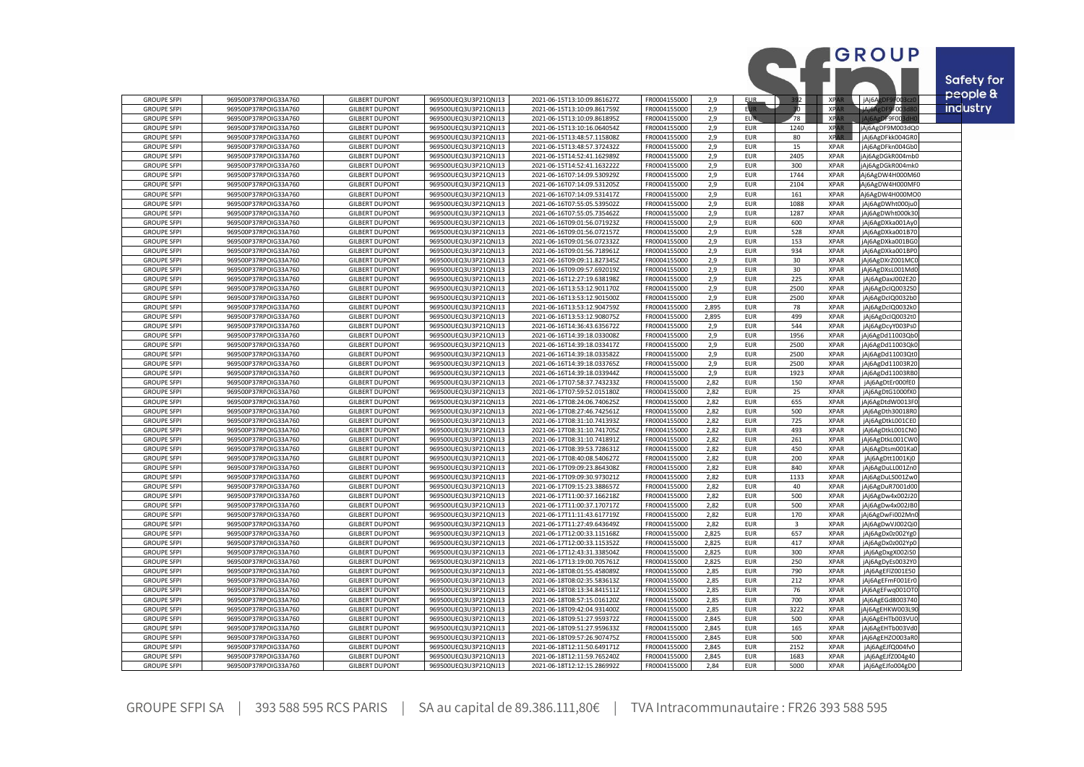|                                          |                                              |                                                |                                              |                                                            |                              |              |                          |            |                            | GROUP                                | Safety for      |
|------------------------------------------|----------------------------------------------|------------------------------------------------|----------------------------------------------|------------------------------------------------------------|------------------------------|--------------|--------------------------|------------|----------------------------|--------------------------------------|-----------------|
| <b>GROUPE SFPI</b>                       | 969500P37RPOIG33A760                         | <b>GILBERT DUPONT</b>                          | 969500UEQ3U3P21QNJ13                         | 2021-06-15T13:10:09.861627Z                                | FR0004155000                 | 2,9          | <b>EUR</b>               | 92         | $\overline{ }$ XPA         | jAj6A<br>FOO                         | people &        |
| <b>GROUPE SFPI</b>                       | 969500P37RPOIG33A760                         | <b>GILBERT DUPONT</b>                          | 969500UEQ3U3P21QNJ13                         | 2021-06-15T13:10:09.861759Z                                | FR0004155000                 | 2,9          | <b>EUR</b>               | 30         | <b>XPA</b>                 | <b>JAJAAP</b><br>9F003d8             | <b>industry</b> |
| <b>GROUPE SFPI</b>                       | 969500P37RPOIG33A760                         | <b>GILBERT DUPONT</b>                          | 969500UEQ3U3P21QNJ13                         | 2021-06-15T13:10:09.861895Z                                | FR0004155000                 | 2,9          | EUR.                     | 78         | <b>XPA</b>                 | DF9F00                               |                 |
| <b>GROUPE SFPI</b>                       | 969500P37RPOIG33A760                         | <b>GILBERT DUPONT</b>                          | 969500UEQ3U3P21QNJ13                         | 2021-06-15T13:10:16.064054Z                                | FR0004155000                 | 2.9          | <b>EUR</b>               | 1240       | <b>XPAR</b>                | jAj6AgDF9M003dQ0                     |                 |
| <b>GROUPE SFPI</b>                       | 969500P37RPOIG33A760                         | <b>GILBERT DUPONT</b>                          | 969500UEQ3U3P21QNJ13                         | 2021-06-15T13:48:57.115808Z                                | FR0004155000                 | 2,9          | <b>EUR</b>               | 80         | <b>XPAR</b>                | jAj6AgDFkk004GR0                     |                 |
| <b>GROUPE SFPI</b>                       | 969500P37RPOIG33A760                         | <b>GILBERT DUPONT</b>                          | 969500UEQ3U3P21QNJ13                         | 2021-06-15T13:48:57.372432Z                                | FR0004155000                 | 2,9          | <b>EUR</b>               | 15         | <b>XPAR</b>                | jAj6AgDFkn004Gb0                     |                 |
| <b>GROUPE SFPI</b>                       | 969500P37RPOIG33A760                         | <b>GILBERT DUPONT</b>                          | 969500UEQ3U3P21QNJ13                         | 2021-06-15T14:52:41.162989Z                                | FR0004155000                 | 2,9          | <b>EUR</b>               | 2405       | <b>XPAR</b>                | jAj6AgDGkR004mb0                     |                 |
| <b>GROUPE SFPI</b>                       | 969500P37RPOIG33A760                         | <b>GILBERT DUPONT</b>                          | 969500UEQ3U3P21QNJ13                         | 2021-06-15T14:52:41.163222Z                                | FR0004155000                 | 2,9          | <b>EUR</b>               | 300        | <b>XPAR</b>                | jAj6AgDGkR004mk0                     |                 |
| <b>GROUPE SFPI</b>                       | 969500P37RPOIG33A760                         | <b>GILBERT DUPONT</b>                          | 969500UEQ3U3P21QNJ13                         | 2021-06-16T07:14:09.530929Z                                | FR0004155000                 | 2,9          | <b>EUR</b>               | 1744       | <b>XPAR</b>                | Aj6AgDW4H000M60                      |                 |
| <b>GROUPE SFPI</b>                       | 969500P37RPOIG33A760                         | <b>GILBERT DUPONT</b>                          | 969500UEQ3U3P21QNJ13                         | 2021-06-16T07:14:09.531205Z                                | FR0004155000                 | 2,9          | <b>EUR</b>               | 2104       | <b>XPAR</b>                | Aj6AgDW4H000MF0                      |                 |
| <b>GROUPE SFPI</b>                       | 969500P37RPOIG33A760                         | <b>GILBERT DUPONT</b>                          | 969500UEQ3U3P21QNJ13                         | 2021-06-16T07:14:09.531417Z                                | FR0004155000                 | 2,9          | <b>EUR</b>               | 161        | <b>XPAR</b>                | Aj6AgDW4H000MO0                      |                 |
| <b>GROUPE SFPI</b>                       | 969500P37RPOIG33A760                         | <b>GILBERT DUPONT</b>                          | 969500UEQ3U3P21QNJ13                         | 2021-06-16T07:55:05.539502Z                                | FR0004155000                 | 2,9          | <b>EUR</b>               | 1088       | <b>XPAR</b>                | jAj6AgDWht000ju0                     |                 |
| <b>GROUPE SFPI</b>                       | 969500P37RPOIG33A760                         | <b>GILBERT DUPONT</b>                          | 969500UEQ3U3P21QNJ13                         | 2021-06-16T07:55:05.735462Z                                | FR0004155000                 | 2,9          | <b>EUR</b>               | 1287       | <b>XPAR</b>                | jAj6AgDWht000k3                      |                 |
| <b>GROUPE SFPI</b><br><b>GROUPE SFPI</b> | 969500P37RPOIG33A760<br>969500P37RPOIG33A760 | <b>GILBERT DUPONT</b><br><b>GILBERT DUPONT</b> | 969500UEQ3U3P21QNJ13<br>969500UEQ3U3P21QNJ13 | 2021-06-16T09:01:56.071923Z                                | FR0004155000<br>FR0004155000 | 2,9<br>2,9   | <b>EUR</b><br><b>EUR</b> | 600<br>528 | <b>XPAR</b><br><b>XPAR</b> | jAj6AgDXka001Ay0<br>jAj6AgDXka001B70 |                 |
| <b>GROUPE SFPI</b>                       | 969500P37RPOIG33A760                         | <b>GILBERT DUPONT</b>                          | 969500UEQ3U3P21QNJ13                         | 2021-06-16T09:01:56.072157Z<br>2021-06-16T09:01:56.072332Z | FR0004155000                 | 2,9          | <b>EUR</b>               | 153        | <b>XPAR</b>                |                                      |                 |
| <b>GROUPE SFPI</b>                       | 969500P37RPOIG33A760                         | <b>GILBERT DUPONT</b>                          | 969500UEQ3U3P21QNJ13                         | 2021-06-16T09:01:56.718961Z                                | FR0004155000                 | 2.9          | <b>EUR</b>               | 934        | <b>XPAR</b>                | jAj6AgDXka001BG<br>jAj6AgDXka001BP0  |                 |
| <b>GROUPE SFPI</b>                       | 969500P37RPOIG33A760                         | <b>GILBERT DUPONT</b>                          | 969500UEQ3U3P21QNJ13                         | 2021-06-16T09:09:11.827345Z                                | FR0004155000                 | 2,9          | <b>EUR</b>               | 30         | <b>XPAR</b>                | jAj6AgDXrZ001MC                      |                 |
| <b>GROUPE SFPI</b>                       | 969500P37RPOIG33A760                         | <b>GILBERT DUPONT</b>                          | 969500UEQ3U3P21QNJ13                         | 2021-06-16T09:09:57.692019Z                                | FR0004155000                 | 2,9          | <b>EUR</b>               | 30         | <b>XPAR</b>                | Aj6AgDXsL001Md                       |                 |
| <b>GROUPE SFPI</b>                       | 969500P37RPOIG33A760                         | <b>GILBERT DUPONT</b>                          | 969500UEQ3U3P21QNJ13                         | 2021-06-16T12:27:19.638198Z                                | FR0004155000                 | 2,9          | <b>EUR</b>               | 225        | <b>XPAR</b>                | jAj6AgDaxJ002E2C                     |                 |
| <b>GROUPE SFPI</b>                       | 969500P37RPOIG33A760                         | <b>GILBERT DUPONT</b>                          | 969500UEQ3U3P21QNJ13                         | 2021-06-16T13:53:12.901170Z                                | FR0004155000                 | 2.9          | <b>EUR</b>               | 2500       | <b>XPAR</b>                | Aj6AgDcIQ0032S0                      |                 |
| <b>GROUPE SFPI</b>                       | 969500P37RPOIG33A760                         | <b>GILBERT DUPONT</b>                          | 969500UEQ3U3P21QNJ13                         | 2021-06-16T13:53:12.901500Z                                | FR0004155000                 | 2,9          | <b>EUR</b>               | 2500       | <b>XPAR</b>                | jAj6AgDcIQ0032b0                     |                 |
| <b>GROUPE SFPI</b>                       | 969500P37RPOIG33A760                         | <b>GILBERT DUPONT</b>                          | 969500UEQ3U3P21QNJ13                         | 2021-06-16T13:53:12.904759Z                                | FR0004155000                 | 2.895        | <b>EUR</b>               | 78         | <b>XPAR</b>                | Aj6AgDcIQ0032kC                      |                 |
| <b>GROUPE SFPI</b>                       | 969500P37RPOIG33A760                         | <b>GILBERT DUPONT</b>                          | 969500UEQ3U3P21QNJ13                         | 2021-06-16T13:53:12.908075Z                                | FR0004155000                 | 2,895        | <b>EUR</b>               | 499        | <b>XPAR</b>                | jAj6AgDcIQ0032tC                     |                 |
| <b>GROUPE SFPI</b>                       | 969500P37RPOIG33A760                         | <b>GILBERT DUPONT</b>                          | 969500UEQ3U3P21QNJ13                         | 2021-06-16T14:36:43.635672Z                                | FR0004155000                 | 2.9          | <b>EUR</b>               | 544        | <b>XPAR</b>                | jAj6AgDcyY003Ps0                     |                 |
| <b>GROUPE SFPI</b>                       | 969500P37RPOIG33A760                         | <b>GILBERT DUPONT</b>                          | 969500UEQ3U3P21QNJ13                         | 2021-06-16T14:39:18.033008Z                                | FR0004155000                 | 2,9          | <b>EUR</b>               | 1956       | <b>XPAR</b>                | jAj6AgDd11003QbC                     |                 |
| <b>GROUPE SFPI</b>                       | 969500P37RPOIG33A760                         | <b>GILBERT DUPONT</b>                          | 969500UEQ3U3P21QNJ13                         | 2021-06-16T14:39:18.033417Z                                | FR0004155000                 | 2,9          | <b>EUR</b>               | 2500       | <b>XPAR</b>                | jAj6AgDd11003Qk                      |                 |
| <b>GROUPE SFPI</b>                       | 969500P37RPOIG33A760                         | <b>GILBERT DUPONT</b>                          | 969500UEQ3U3P21QNJ13                         | 2021-06-16T14:39:18.033582Z                                | FR0004155000                 | 2,9          | <b>EUR</b>               | 2500       | <b>XPAR</b>                | jAj6AgDd11003QtC                     |                 |
| <b>GROUPE SFPI</b>                       | 969500P37RPOIG33A760                         | <b>GILBERT DUPONT</b>                          | 969500UEQ3U3P21QNJ13                         | 2021-06-16T14:39:18.033765Z                                | FR0004155000                 | 2,9          | <b>EUR</b>               | 2500       | <b>XPAR</b>                | jAj6AgDd11003R2                      |                 |
| <b>GROUPE SFPI</b>                       | 969500P37RPOIG33A760                         | <b>GILBERT DUPONT</b>                          | 969500UEQ3U3P21QNJ13                         | 2021-06-16T14:39:18.033944Z                                | FR0004155000                 | 2,9          | <b>EUR</b>               | 1923       | <b>XPAR</b>                | jAj6AgDd11003RB0                     |                 |
| <b>GROUPE SFPI</b>                       | 969500P37RPOIG33A760                         | <b>GILBERT DUPONT</b>                          | 969500UEQ3U3P21QNJ13                         | 2021-06-17T07:58:37.743233Z                                | FR0004155000                 | 2,82         | <b>EUR</b>               | 150        | <b>XPAR</b>                | jAj6AgDtEr000fE0                     |                 |
| <b>GROUPE SFPI</b>                       | 969500P37RPOIG33A760                         | <b>GILBERT DUPONT</b>                          | 969500UEQ3U3P21QNJ13                         | 2021-06-17T07:59:52.015180Z                                | FR0004155000                 | 2,82         | <b>EUR</b>               | 25         | <b>XPAR</b>                | jAj6AgDtG1000fX0                     |                 |
| <b>GROUPE SFPI</b>                       | 969500P37RPOIG33A760                         | <b>GILBERT DUPONT</b>                          | 969500UEQ3U3P21QNJ13                         | 2021-06-17T08:24:06.740625Z                                | FR0004155000                 | 2,82         | <b>EUR</b>               | 655        | <b>XPAR</b>                | jAj6AgDtdW0013F                      |                 |
| <b>GROUPE SFPI</b>                       | 969500P37RPOIG33A760                         | <b>GILBERT DUPONT</b>                          | 969500UEQ3U3P21QNJ13                         | 2021-06-17T08:27:46.742561Z                                | FR0004155000                 | 2,82         | <b>EUR</b>               | 500        | <b>XPAR</b>                | jAj6AgDth30018R0                     |                 |
| <b>GROUPE SFPI</b>                       | 969500P37RPOIG33A760                         | <b>GILBERT DUPONT</b>                          | 969500UEQ3U3P21QNJ13                         | 2021-06-17T08:31:10.741393Z                                | FR0004155000                 | 2,82         | <b>EUR</b>               | 725        | <b>XPAR</b><br><b>XPAR</b> | jAj6AgDtkL001CEC                     |                 |
| <b>GROUPE SFPI</b><br><b>GROUPE SFPI</b> | 969500P37RPOIG33A760<br>969500P37RPOIG33A760 | <b>GILBERT DUPONT</b><br><b>GILBERT DUPONT</b> | 969500UEQ3U3P21QNJ13<br>969500UEQ3U3P21QNJ13 | 2021-06-17T08:31:10.741705Z<br>2021-06-17T08:31:10.741891Z | FR0004155000<br>FR0004155000 | 2,82<br>2,82 | <b>EUR</b><br><b>EUR</b> | 493<br>261 | <b>XPAR</b>                | jAj6AgDtkL001CN0<br>jAj6AgDtkL001CW  |                 |
| <b>GROUPE SFPI</b>                       | 969500P37RPOIG33A760                         | <b>GILBERT DUPONT</b>                          | 969500UEQ3U3P21QNJ13                         | 2021-06-17T08:39:53.728631Z                                | FR0004155000                 | 2,82         | <b>EUR</b>               | 450        | <b>XPAR</b>                | jAj6AgDtsm001KaC                     |                 |
| <b>GROUPE SFPI</b>                       | 969500P37RPOIG33A760                         | <b>GILBERT DUPONT</b>                          | 969500UEQ3U3P21QNJ13                         | 2021-06-17T08:40:08.540627Z                                | FR0004155000                 | 2,82         | <b>EUR</b>               | 200        | <b>XPAR</b>                | jAj6AgDtt1001Kj0                     |                 |
| <b>GROUPE SFPI</b>                       | 969500P37RPOIG33A760                         | <b>GILBERT DUPONT</b>                          | 969500UEQ3U3P21QNJ1                          | 2021-06-17T09:09:23.864308Z                                | FR0004155000                 | 2,82         | <b>EUR</b>               | 840        | <b>XPAR</b>                | Aj6AgDuLL001Zn0                      |                 |
| <b>GROUPE SFPI</b>                       | 969500P37RPOIG33A760                         | <b>GILBERT DUPONT</b>                          | 969500UEQ3U3P21QNJ13                         | 2021-06-17T09:09:30.973021Z                                | FR0004155000                 | 2,82         | <b>EUR</b>               | 1133       | <b>XPAR</b>                | Aj6AgDuLS001Zw0                      |                 |
| <b>GROUPE SFPI</b>                       | 969500P37RPOIG33A760                         | <b>GILBERT DUPONT</b>                          | 969500UEQ3U3P21QNJ13                         | 2021-06-17T09:15:23.388657Z                                | FR0004155000                 | 2.82         | <b>EUR</b>               | 40         | <b>XPAR</b>                | Aj6AgDuR7001d00                      |                 |
| <b>GROUPE SFPI</b>                       | 969500P37RPOIG33A760                         | <b>GILBERT DUPONT</b>                          | 969500UEQ3U3P21QNJ13                         | 2021-06-17T11:00:37.166218Z                                | FR0004155000                 | 2,82         | <b>EUR</b>               | 500        | <b>XPAR</b>                | jAj6AgDw4x002J20                     |                 |
| <b>GROUPE SFPI</b>                       | 969500P37RPOIG33A760                         | <b>GILBERT DUPONT</b>                          | 969500UEQ3U3P21QNJ13                         | 2021-06-17T11:00:37.170717Z                                | FR0004155000                 | 2.82         | <b>EUR</b>               | 500        | <b>XPAR</b>                | jAj6AgDw4x002JB                      |                 |
| <b>GROUPE SFPI</b>                       | 969500P37RPOIG33A760                         | <b>GILBERT DUPONT</b>                          | 969500UEQ3U3P21QNJ13                         | 2021-06-17T11:11:43.617719Z                                | FR0004155000                 | 2,82         | <b>EUR</b>               | 170        | <b>XPAR</b>                | jAj6AgDwFi002Mn                      |                 |
| <b>GROUPE SFPI</b>                       | 969500P37RPOIG33A760                         | <b>GILBERT DUPONT</b>                          | 969500UEQ3U3P21QNJ13                         | 2021-06-17T11:27:49.643649Z                                | FR0004155000                 | 2,82         | <b>EUR</b>               | 3          | <b>XPAR</b>                | jAj6AgDwVJ002Qi0                     |                 |
| <b>GROUPE SFPI</b>                       | 969500P37RPOIG33A760                         | <b>GILBERT DUPONT</b>                          | 969500UEQ3U3P21QNJ13                         | 2021-06-17T12:00:33.115168Z                                | FR0004155000                 | 2,825        | <b>EUR</b>               | 657        | <b>XPAR</b>                | jAj6AgDx0z002Yg0                     |                 |
| <b>GROUPE SFPI</b>                       | 969500P37RPOIG33A760                         | <b>GILBERT DUPONT</b>                          | 969500UEQ3U3P21QNJ13                         | 2021-06-17T12:00:33.115352Z                                | FR0004155000                 | 2,825        | <b>EUR</b>               | 417        | <b>XPAR</b>                | jAj6AgDx0z002Yp0                     |                 |
| <b>GROUPE SFPI</b>                       | 969500P37RPOIG33A760                         | <b>GILBERT DUPONT</b>                          | 969500UEQ3U3P21QNJ13                         | 2021-06-17T12:43:31.338504Z                                | FR0004155000                 | 2,825        | <b>EUR</b>               | 300        | <b>XPAR</b>                | jAj6AgDxgX002iSC                     |                 |
| <b>GROUPE SFPI</b>                       | 969500P37RPOIG33A760                         | <b>GILBERT DUPONT</b>                          | 969500UEQ3U3P21QNJ13                         | 2021-06-17T13:19:00.705761Z                                | FR0004155000                 | 2,825        | <b>EUR</b>               | 250        | <b>XPAR</b>                | Aj6AgDyEs0032Y0                      |                 |
| <b>GROUPE SFPI</b>                       | 969500P37RPOIG33A760                         | <b>GILBERT DUPONT</b>                          | 969500UEQ3U3P21QNJ13                         | 2021-06-18T08:01:55.458089Z                                | FR0004155000                 | 2,85         | <b>EUR</b>               | 790        | <b>XPAR</b>                | jAj6AgEFlZ001E50                     |                 |
| <b>GROUPE SFPI</b>                       | 969500P37RPOIG33A760                         | <b>GILBERT DUPONT</b><br><b>GILBERT DUPONT</b> | 969500UEQ3U3P21QNJ13                         | 2021-06-18T08:02:35.583613Z                                | FR0004155000<br>FR0004155000 | 2,85         | <b>EUR</b>               | 212        | <b>XPAR</b>                | jAj6AgEFmF001Er0                     |                 |
| <b>GROUPE SFPI</b><br><b>GROUPE SFPI</b> | 969500P37RPOIG33A760<br>969500P37RPOIG33A760 | <b>GILBERT DUPONT</b>                          | 969500UEQ3U3P21QNJ13<br>969500UEQ3U3P21QNJ13 | 2021-06-18T08:13:34.841511Z<br>2021-06-18T08:57:15.016120Z | FR0004155000                 | 2,85<br>2,85 | <b>EUR</b><br><b>EUR</b> | 76<br>700  | <b>XPAR</b><br><b>XPAR</b> | Aj6AgEFwq001OT<br>jAj6AgEGd800374    |                 |
| <b>GROUPE SFPI</b>                       | 969500P37RPOIG33A760                         | <b>GILBERT DUPONT</b>                          | 969500UEQ3U3P21QNJ13                         | 2021-06-18T09:42:04.931400Z                                | FR0004155000                 | 2,85         | <b>EUR</b>               | 3222       | <b>XPAR</b>                | jAj6AgEHKW003L9                      |                 |
| <b>GROUPE SFPI</b>                       | 969500P37RPOIG33A760                         | <b>GILBERT DUPONT</b>                          | 969500UEQ3U3P21QNJ13                         | 2021-06-18T09:51:27.959372Z                                | FR0004155000                 | 2,845        | <b>EUR</b>               | 500        | <b>XPAR</b>                | jAj6AgEHTb003VU                      |                 |
| <b>GROUPE SFPI</b>                       | 969500P37RPOIG33A760                         | <b>GILBERT DUPONT</b>                          | 969500UEQ3U3P21QNJ1                          | 2021-06-18T09:51:27.959633Z                                | FR0004155000                 | 2,845        | <b>EUR</b>               | 165        | <b>XPAR</b>                | Aj6AgEHTb003Vd                       |                 |
| <b>GROUPE SFPI</b>                       | 969500P37RPOIG33A760                         | <b>GILBERT DUPONT</b>                          | 969500UEQ3U3P21QNJ13                         | 2021-06-18T09:57:26.907475Z                                | FR0004155000                 | 2,845        | <b>EUR</b>               | 500        | <b>XPAR</b>                | jAj6AgEHZO003aR                      |                 |
| <b>GROUPE SFPI</b>                       | 969500P37RPOIG33A760                         | <b>GILBERT DUPONT</b>                          | 969500UEQ3U3P21QNJ13                         | 2021-06-18T12:11:50.649171Z                                | FR0004155000                 | 2,845        | <b>EUR</b>               | 2152       | <b>XPAR</b>                | jAj6AgEJfQ004fv0                     |                 |
| <b>GROUPE SFPI</b>                       | 969500P37RPOIG33A760                         | <b>GILBERT DUPONT</b>                          | 969500UEQ3U3P21QNJ13                         | 2021-06-18T12:11:59.765240Z                                | FR0004155000                 | 2,845        | <b>EUR</b>               | 1683       | <b>XPAR</b>                | jAj6AgEJfZ004g40                     |                 |
| <b>GROUPE SFPI</b>                       | 969500P37RPOIG33A760                         | <b>GILBERT DUPONT</b>                          | 969500UEQ3U3P21QNJ13                         | 2021-06-18T12:12:15.286992Z                                | FR0004155000                 | 2.84         | <b>EUR</b>               | 5000       | <b>XPAR</b>                | jAj6AgEJfo004gD0                     |                 |